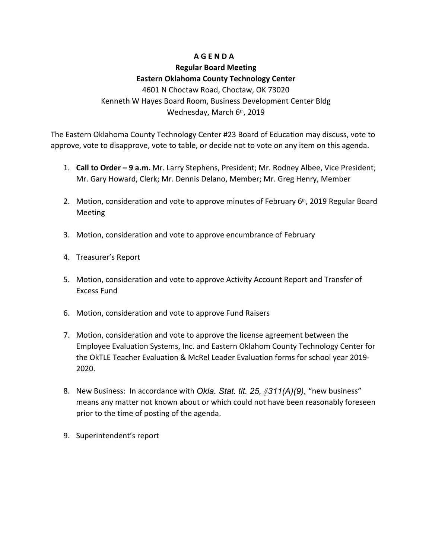## **A G E N D A**

## **Regular Board Meeting Eastern Oklahoma County Technology Center**

4601 N Choctaw Road, Choctaw, OK 73020 Kenneth W Hayes Board Room, Business Development Center Bldg Wednesday, March 6th, 2019

The Eastern Oklahoma County Technology Center #23 Board of Education may discuss, vote to approve, vote to disapprove, vote to table, or decide not to vote on any item on this agenda.

- 1. **Call to Order 9 a.m.** Mr. Larry Stephens, President; Mr. Rodney Albee, Vice President; Mr. Gary Howard, Clerk; Mr. Dennis Delano, Member; Mr. Greg Henry, Member
- 2. Motion, consideration and vote to approve minutes of February  $6<sup>th</sup>$ , 2019 Regular Board Meeting
- 3. Motion, consideration and vote to approve encumbrance of February
- 4. Treasurer's Report
- 5. Motion, consideration and vote to approve Activity Account Report and Transfer of Excess Fund
- 6. Motion, consideration and vote to approve Fund Raisers
- 7. Motion, consideration and vote to approve the license agreement between the Employee Evaluation Systems, Inc. and Eastern Oklahom County Technology Center for the OkTLE Teacher Evaluation & McRel Leader Evaluation forms for school year 2019- 2020.
- 8. New Business: In accordance with *Okla. Stat. tit. 25, §311(A)(9)*, "new business" means any matter not known about or which could not have been reasonably foreseen prior to the time of posting of the agenda.
- 9. Superintendent's report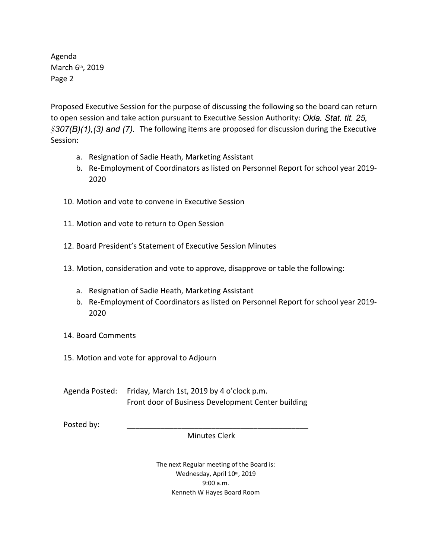Agenda March 6th, 2019 Page 2

Proposed Executive Session for the purpose of discussing the following so the board can return to open session and take action pursuant to Executive Session Authority: *Okla. Stat. tit. 25, §307(B)(1),(3) and (7).* The following items are proposed for discussion during the Executive Session:

- a. Resignation of Sadie Heath, Marketing Assistant
- b. Re-Employment of Coordinators as listed on Personnel Report for school year 2019- 2020
- 10. Motion and vote to convene in Executive Session
- 11. Motion and vote to return to Open Session
- 12. Board President's Statement of Executive Session Minutes
- 13. Motion, consideration and vote to approve, disapprove or table the following:
	- a. Resignation of Sadie Heath, Marketing Assistant
	- b. Re-Employment of Coordinators as listed on Personnel Report for school year 2019- 2020
- 14. Board Comments
- 15. Motion and vote for approval to Adjourn

Agenda Posted: Friday, March 1st, 2019 by 4 o'clock p.m. Front door of Business Development Center building

Posted by: \_\_\_\_\_\_\_\_\_\_\_\_\_\_\_\_\_\_\_\_\_\_\_\_\_\_\_\_\_\_\_\_\_\_\_\_\_\_\_\_\_\_\_

Minutes Clerk

The next Regular meeting of the Board is: Wednesday, April 10th, 2019 9:00 a.m. Kenneth W Hayes Board Room